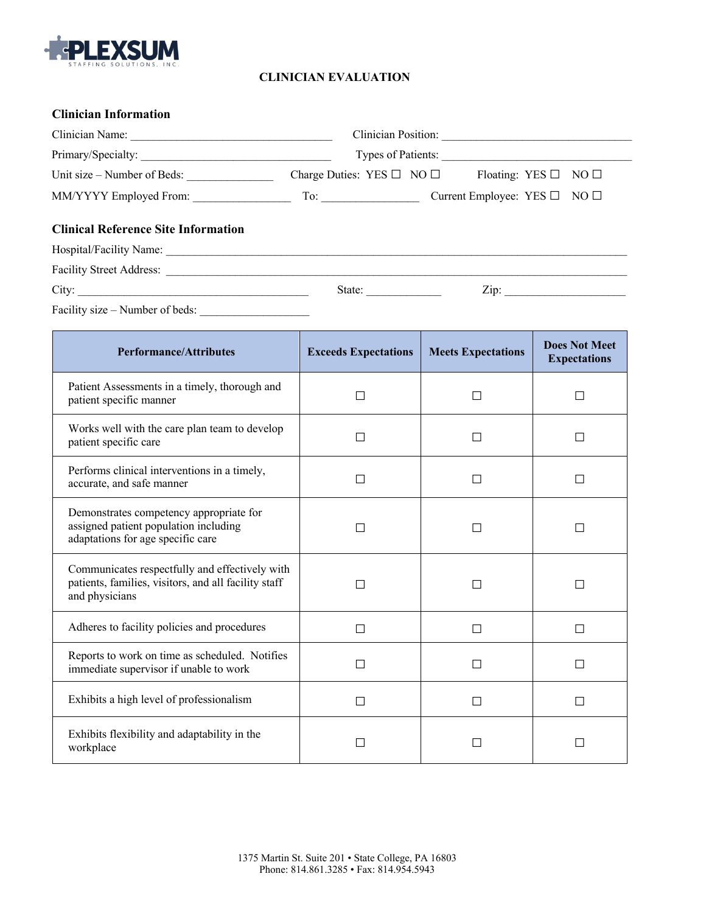

## **CLINICIAN EVALUATION**

| <b>Clinician Information</b>               |        |                                                                    |  |  |  |
|--------------------------------------------|--------|--------------------------------------------------------------------|--|--|--|
|                                            |        |                                                                    |  |  |  |
|                                            |        | Types of Patients:                                                 |  |  |  |
| Unit size – Number of Beds:                |        | Charge Duties: YES $\Box$ NO $\Box$ Floating: YES $\Box$ NO $\Box$ |  |  |  |
|                                            |        | Current Employee: YES $\Box$ NO $\Box$                             |  |  |  |
| <b>Clinical Reference Site Information</b> |        |                                                                    |  |  |  |
|                                            |        |                                                                    |  |  |  |
|                                            |        |                                                                    |  |  |  |
| City:                                      | State: | Zip:                                                               |  |  |  |

Facility size – Number of beds: \_\_\_\_\_\_\_\_\_\_\_\_\_\_\_\_\_\_\_

| <b>Performance/Attributes</b>                                                                                            | <b>Exceeds Expectations</b> | <b>Meets Expectations</b> | <b>Does Not Meet</b><br><b>Expectations</b> |
|--------------------------------------------------------------------------------------------------------------------------|-----------------------------|---------------------------|---------------------------------------------|
| Patient Assessments in a timely, thorough and<br>patient specific manner                                                 | П                           |                           | Г                                           |
| Works well with the care plan team to develop<br>patient specific care                                                   |                             |                           |                                             |
| Performs clinical interventions in a timely,<br>accurate, and safe manner                                                | $\mathcal{L}$               |                           | П                                           |
| Demonstrates competency appropriate for<br>assigned patient population including<br>adaptations for age specific care    |                             |                           | Г                                           |
| Communicates respectfully and effectively with<br>patients, families, visitors, and all facility staff<br>and physicians |                             |                           | П                                           |
| Adheres to facility policies and procedures                                                                              | П                           | П                         | П                                           |
| Reports to work on time as scheduled. Notifies<br>immediate supervisor if unable to work                                 | $\mathsf{L}$                | ΙI                        | П                                           |
| Exhibits a high level of professionalism                                                                                 |                             |                           | Г                                           |
| Exhibits flexibility and adaptability in the<br>workplace                                                                |                             |                           | $\mathbf{L}$                                |